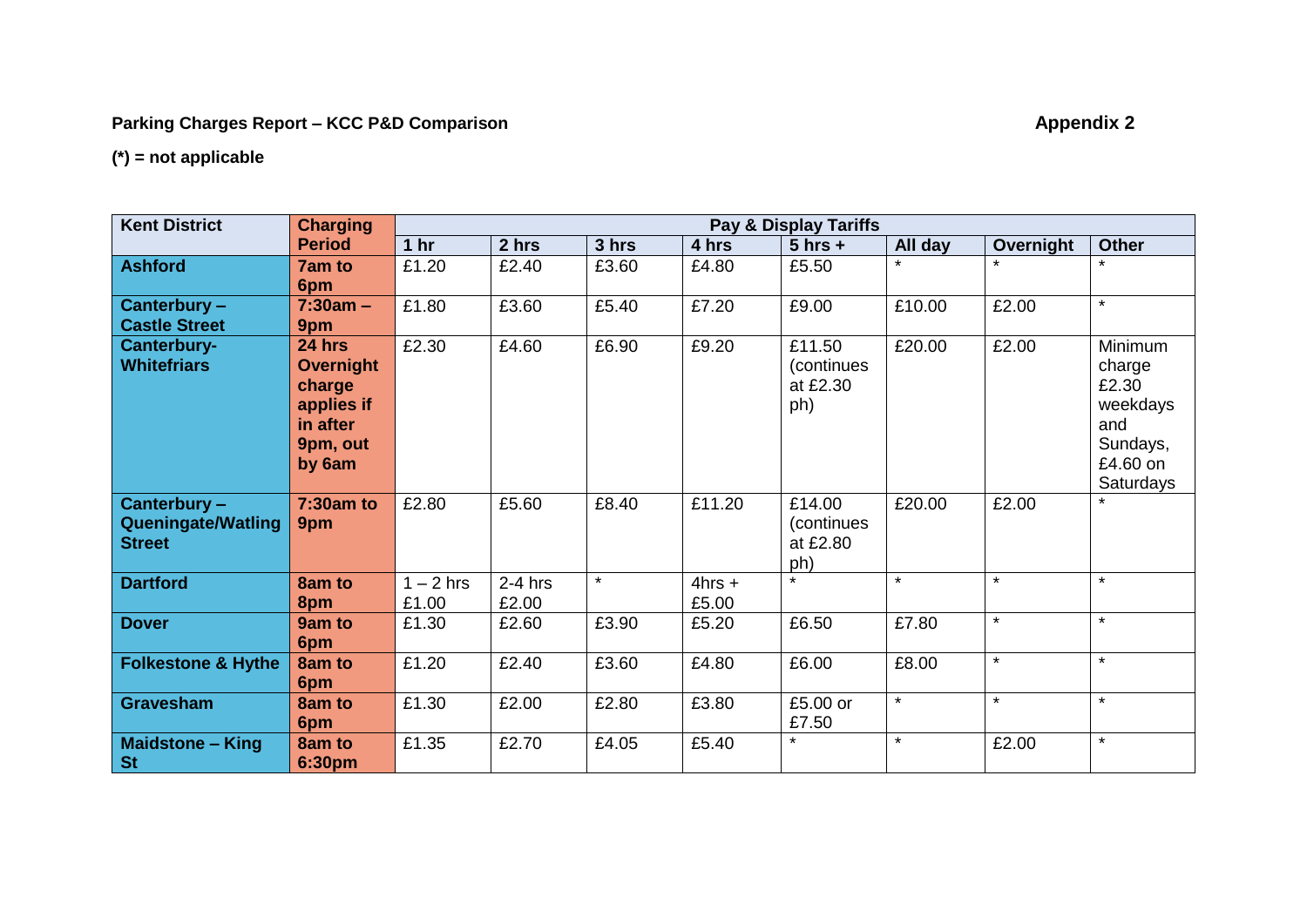## **Parking Charges Report – KCC P&D Comparison <b>Appendix 2 Appendix 2**

## **(\*) = not applicable**

| <b>Kent District</b>          | <b>Charging</b>  | Pay & Display Tariffs |           |         |          |             |         |           |                      |
|-------------------------------|------------------|-----------------------|-----------|---------|----------|-------------|---------|-----------|----------------------|
|                               | <b>Period</b>    | 1 <sub>hr</sub>       | 2 hrs     | 3 hrs   | 4 hrs    | $5$ hrs +   | All day | Overnight | <b>Other</b>         |
| <b>Ashford</b>                | <b>7am to</b>    | £1.20                 | £2.40     | £3.60   | £4.80    | £5.50       |         |           | $\star$              |
|                               | 6pm              |                       |           |         |          |             |         |           |                      |
| Canterbury -                  | $7:30am -$       | £1.80                 | £3.60     | £5.40   | £7.20    | £9.00       | £10.00  | £2.00     | $\star$              |
| <b>Castle Street</b>          | 9pm              |                       |           |         |          |             |         |           |                      |
| Canterbury-                   | 24 hrs           | £2.30                 | £4.60     | £6.90   | £9.20    | £11.50      | £20.00  | £2.00     | Minimum              |
| <b>Whitefriars</b>            | <b>Overnight</b> |                       |           |         |          | (continues) |         |           | charge               |
|                               | charge           |                       |           |         |          | at £2.30    |         |           | £2.30                |
|                               | applies if       |                       |           |         |          | ph)         |         |           | weekdays             |
|                               | in after         |                       |           |         |          |             |         |           | and                  |
|                               | 9pm, out         |                       |           |         |          |             |         |           | Sundays,             |
|                               | by 6am           |                       |           |         |          |             |         |           | £4.60 on             |
| Canterbury -                  | 7:30am to        | £2.80                 | £5.60     | £8.40   | £11.20   | £14.00      | £20.00  | £2.00     | Saturdays<br>$\star$ |
| <b>Queningate/Watling</b>     | 9pm              |                       |           |         |          | (continues  |         |           |                      |
| <b>Street</b>                 |                  |                       |           |         |          | at £2.80    |         |           |                      |
|                               |                  |                       |           |         |          | ph)         |         |           |                      |
| <b>Dartford</b>               | 8am to           | $1 - 2$ hrs           | $2-4$ hrs | $\star$ | $4hrs +$ |             | $\star$ | $\star$   | $\star$              |
|                               | 8pm              | £1.00                 | £2.00     |         | £5.00    |             |         |           |                      |
| <b>Dover</b>                  | 9am to           | £1.30                 | £2.60     | £3.90   | £5.20    | £6.50       | £7.80   | $\star$   | $\star$              |
|                               | 6pm              |                       |           |         |          |             |         |           |                      |
| <b>Folkestone &amp; Hythe</b> | 8am to           | £1.20                 | £2.40     | £3.60   | £4.80    | £6.00       | £8.00   | $\star$   | $\star$              |
|                               | 6pm              |                       |           |         |          |             |         |           |                      |
| <b>Gravesham</b>              | 8am to           | £1.30                 | £2.00     | £2.80   | £3.80    | £5.00 or    | $\star$ | $\star$   | $\star$              |
|                               | 6pm              |                       |           |         |          | £7.50       |         |           |                      |
| <b>Maidstone - King</b>       | 8am to           | £1.35                 | £2.70     | £4.05   | £5.40    | $\star$     | $\star$ | £2.00     | $\star$              |
| <b>St</b>                     | 6:30pm           |                       |           |         |          |             |         |           |                      |